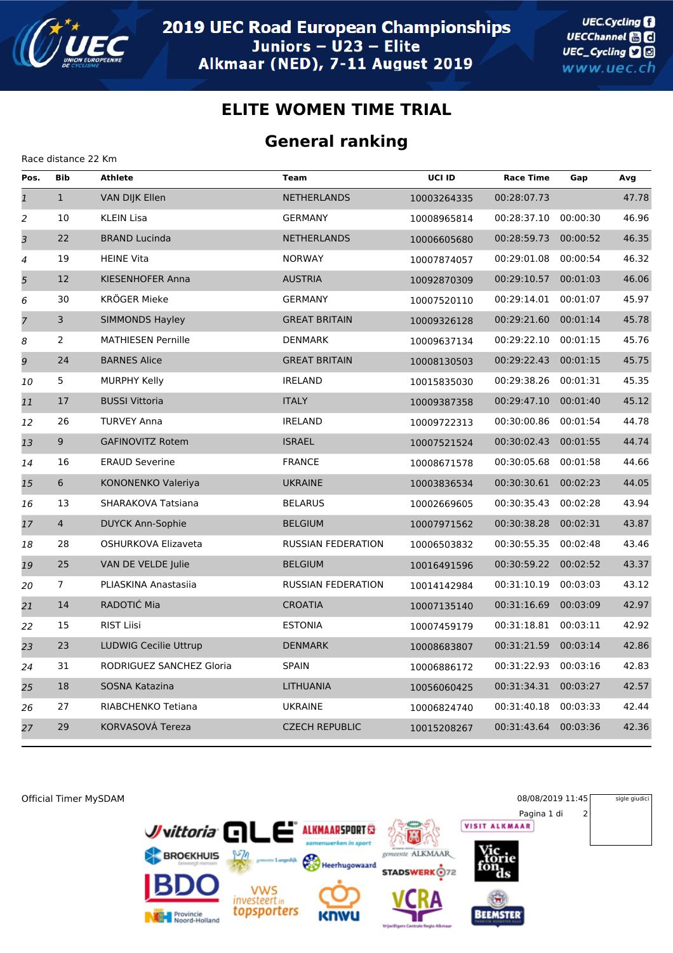

Race distance 22 Km

## **ELITE WOMEN TIME TRIAL**

## **General ranking**

| Pos.           | <b>Bib</b>              | <b>Athlete</b>                  | <b>Team</b>               | UCI ID      | <b>Race Time</b> | Gap      | Avg   |
|----------------|-------------------------|---------------------------------|---------------------------|-------------|------------------|----------|-------|
| $\mathfrak 1$  | $\mathbf{1}$            | VAN DIJK Ellen                  | <b>NETHERLANDS</b>        | 10003264335 | 00:28:07.73      |          | 47.78 |
| $\overline{2}$ | 10                      | <b>KLEIN Lisa</b>               | <b>GERMANY</b>            | 10008965814 | 00:28:37.10      | 00:00:30 | 46.96 |
| 3              | 22                      | <b>BRAND Lucinda</b>            | <b>NETHERLANDS</b>        | 10006605680 | 00:28:59.73      | 00:00:52 | 46.35 |
| 4              | 19                      | <b>HEINE Vita</b>               | <b>NORWAY</b>             | 10007874057 | 00:29:01.08      | 00:00:54 | 46.32 |
| $\overline{5}$ | 12                      | KIESENHOFER Anna                | <b>AUSTRIA</b>            | 10092870309 | 00:29:10.57      | 00:01:03 | 46.06 |
| 6              | 30                      | <b>KRÖGER Mieke</b>             | <b>GERMANY</b>            | 10007520110 | 00:29:14.01      | 00:01:07 | 45.97 |
| $\overline{z}$ | $\overline{\mathbf{3}}$ | <b>SIMMONDS Hayley</b>          | <b>GREAT BRITAIN</b>      | 10009326128 | 00:29:21.60      | 00:01:14 | 45.78 |
| 8              | 2                       | <b>MATHIESEN Pernille</b>       | <b>DENMARK</b>            | 10009637134 | 00:29:22.10      | 00:01:15 | 45.76 |
| 9              | 24                      | <b>BARNES Alice</b>             | <b>GREAT BRITAIN</b>      | 10008130503 | 00:29:22.43      | 00:01:15 | 45.75 |
| 10             | $5\phantom{.0}$         | <b>MURPHY Kelly</b>             | <b>IRELAND</b>            | 10015835030 | 00:29:38.26      | 00:01:31 | 45.35 |
| 11             | 17                      | <b>BUSSI Vittoria</b>           | <b>ITALY</b>              | 10009387358 | 00:29:47.10      | 00:01:40 | 45.12 |
| 12             | 26                      | <b>TURVEY Anna</b>              | <b>IRELAND</b>            | 10009722313 | 00:30:00.86      | 00:01:54 | 44.78 |
| 13             | 9 <sup>°</sup>          | <b>GAFINOVITZ Rotem</b>         | <b>ISRAEL</b>             | 10007521524 | 00:30:02.43      | 00:01:55 | 44.74 |
| 14             | 16                      | <b>ERAUD Severine</b>           | <b>FRANCE</b>             | 10008671578 | 00:30:05.68      | 00:01:58 | 44.66 |
| 15             | $\boldsymbol{6}$        | KONONENKO Valeriya              | <b>UKRAINE</b>            | 10003836534 | 00:30:30.61      | 00:02:23 | 44.05 |
| 16             | 13                      | SHARAKOVA Tatsiana              | <b>BELARUS</b>            | 10002669605 | 00:30:35.43      | 00:02:28 | 43.94 |
| 17             | $\overline{4}$          | <b>DUYCK Ann-Sophie</b>         | <b>BELGIUM</b>            | 10007971562 | 00:30:38.28      | 00:02:31 | 43.87 |
| 18             | 28                      | OSHURKOVA Elizaveta             | <b>RUSSIAN FEDERATION</b> | 10006503832 | 00:30:55.35      | 00:02:48 | 43.46 |
| 19             | 25                      | VAN DE VELDE Julie              | <b>BELGIUM</b>            | 10016491596 | 00:30:59.22      | 00:02:52 | 43.37 |
| 20             | $\overline{7}$          | PLIASKINA Anastasiia            | RUSSIAN FEDERATION        | 10014142984 | 00:31:10.19      | 00:03:03 | 43.12 |
| 21             | 14                      | RADOTIĆ Mia                     | <b>CROATIA</b>            | 10007135140 | 00:31:16.69      | 00:03:09 | 42.97 |
| 22             | 15                      | <b>RIST Liisi</b>               | <b>ESTONIA</b>            | 10007459179 | 00:31:18.81      | 00:03:11 | 42.92 |
| 23             | 23                      | <b>LUDWIG Cecilie Uttrup</b>    | <b>DENMARK</b>            | 10008683807 | 00:31:21.59      | 00:03:14 | 42.86 |
| 24             | 31                      | <b>RODRIGUEZ SANCHEZ Gloria</b> | <b>SPAIN</b>              | 10006886172 | 00:31:22.93      | 00:03:16 | 42.83 |
| 25             | 18                      | SOSNA Katazina                  | <b>LITHUANIA</b>          | 10056060425 | 00:31:34.31      | 00:03:27 | 42.57 |
| 26             | 27                      | RIABCHENKO Tetiana              | <b>UKRAINE</b>            | 10006824740 | 00:31:40.18      | 00:03:33 | 42.44 |
| 27             | 29                      | KORVASOVÁ Tereza                | <b>CZECH REPUBLIC</b>     | 10015208267 | 00:31:43.64      | 00:03:36 | 42.36 |
|                |                         |                                 |                           |             |                  |          |       |